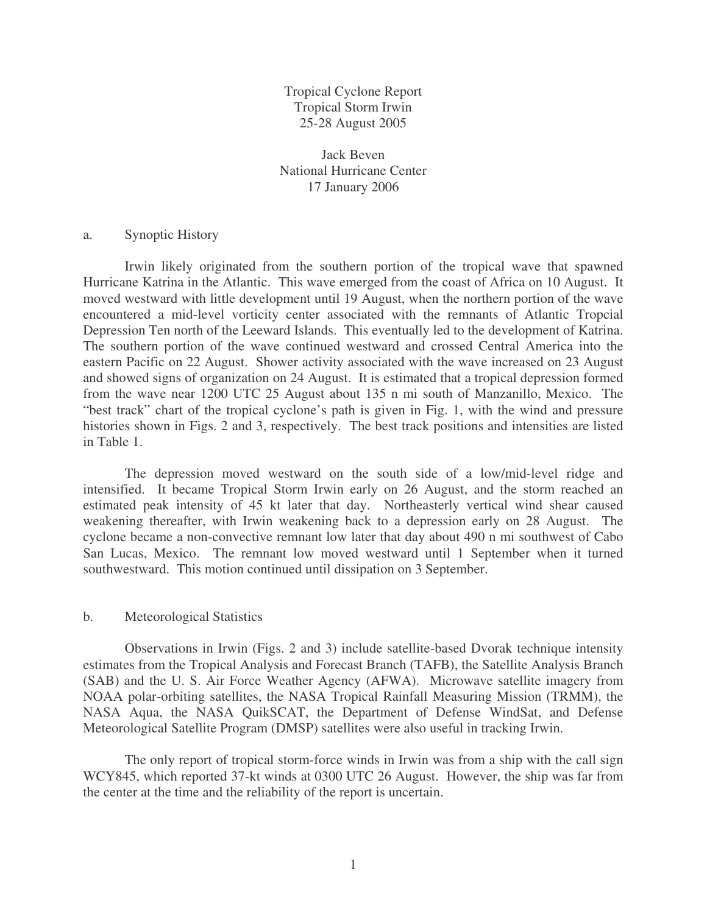Tropical Cyclone Report Tropical Storm Irwin 25-28 August 2005

Jack Beven National Hurricane Center 17 January 2006

## a. Synoptic History

Irwin likely originated from the southern portion of the tropical wave that spawned Hurricane Katrina in the Atlantic. This wave emerged from the coast of Africa on 10 August. It moved westward with little development until 19 August, when the northern portion of the wave encountered a mid-level vorticity center associated with the remnants of Atlantic Tropcial Depression Ten north of the Leeward Islands. This eventually led to the development of Katrina. The southern portion of the wave continued westward and crossed Central America into the eastern Pacific on 22 August. Shower activity associated with the wave increased on 23 August and showed signs of organization on 24 August. It is estimated that a tropical depression formed from the wave near 1200 UTC 25 August about 135 n mi south of Manzanillo, Mexico. The "best track" chart of the tropical cyclone's path is given in Fig. 1, with the wind and pressure histories shown in Figs. 2 and 3, respectively. The best track positions and intensities are listed in Table 1.

The depression moved westward on the south side of a low/mid-level ridge and intensified. It became Tropical Storm Irwin early on 26 August, and the storm reached an estimated peak intensity of 45 kt later that day. Northeasterly vertical wind shear caused weakening thereafter, with Irwin weakening back to a depression early on 28 August. The cyclone became a non-convective remnant low later that day about 490 n mi southwest of Cabo San Lucas, Mexico. The remnant low moved westward until 1 September when it turned southwestward. This motion continued until dissipation on 3 September.

## b. Meteorological Statistics

Observations in Irwin (Figs. 2 and 3) include satellite-based Dvorak technique intensity estimates from the Tropical Analysis and Forecast Branch (TAFB), the Satellite Analysis Branch (SAB) and the U. S. Air Force Weather Agency (AFWA). Microwave satellite imagery from NOAA polar-orbiting satellites, the NASA Tropical Rainfall Measuring Mission (TRMM), the NASA Aqua, the NASA QuikSCAT, the Department of Defense WindSat, and Defense Meteorological Satellite Program (DMSP) satellites were also useful in tracking Irwin.

The only report of tropical storm-force winds in Irwin was from a ship with the call sign WCY845, which reported 37-kt winds at 0300 UTC 26 August. However, the ship was far from the center at the time and the reliability of the report is uncertain.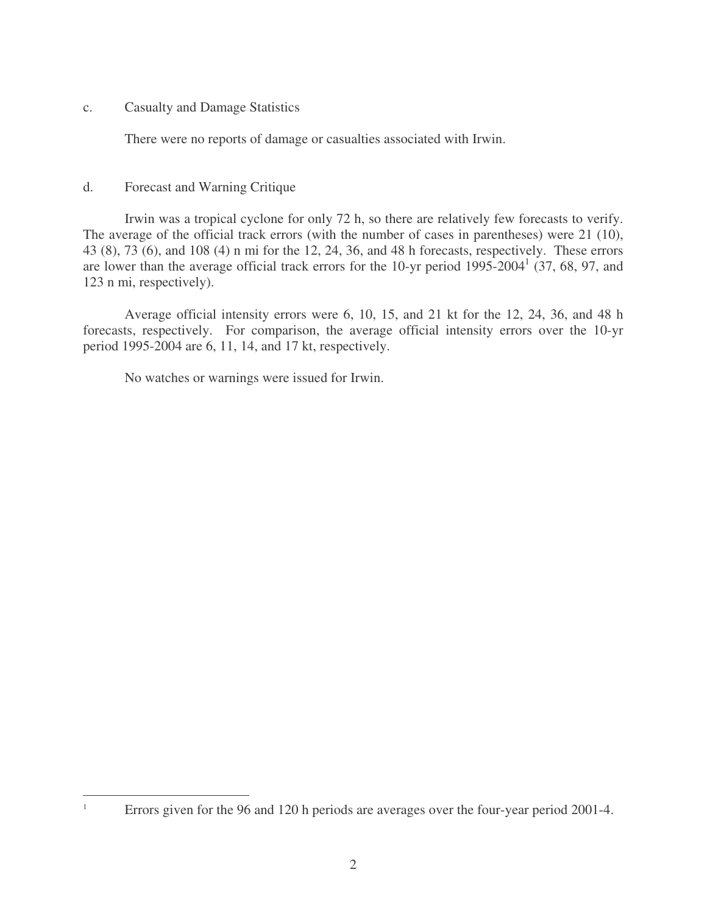c. Casualty and Damage Statistics

There were no reports of damage or casualties associated with Irwin.

## d. Forecast and Warning Critique

Irwin was a tropical cyclone for only 72 h, so there are relatively few forecasts to verify. The average of the official track errors (with the number of cases in parentheses) were 21 (10), 43 (8), 73 (6), and 108 (4) n mi for the 12, 24, 36, and 48 h forecasts, respectively. These errors are lower than the average official track errors for the 10-yr period  $1995-2004<sup>1</sup>$  (37, 68, 97, and 123 n mi, respectively).

Average official intensity errors were 6, 10, 15, and 21 kt for the 12, 24, 36, and 48 h forecasts, respectively. For comparison, the average official intensity errors over the 10-yr period 1995-2004 are 6, 11, 14, and 17 kt, respectively.

No watches or warnings were issued for Irwin.

<sup>&</sup>lt;sup>1</sup> Errors given for the 96 and 120 h periods are averages over the four-year period 2001-4.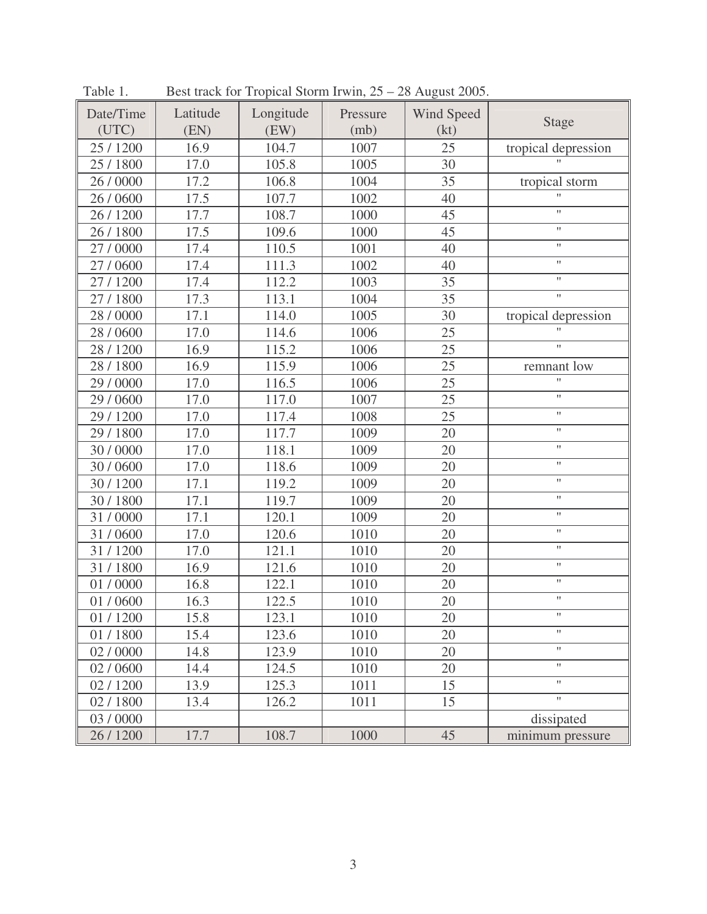| Date/Time | Latitude | Longitude | Pressure | Wind Speed | <b>Stage</b>              |
|-----------|----------|-----------|----------|------------|---------------------------|
| (UTC)     | (EN)     | (EW)      | (mb)     | (kt)       |                           |
| 25 / 1200 | 16.9     | 104.7     | 1007     | 25         | tropical depression       |
| 25 / 1800 | 17.0     | 105.8     | 1005     | 30         |                           |
| 26 / 0000 | 17.2     | 106.8     | 1004     | 35         | tropical storm            |
| 26 / 0600 | 17.5     | 107.7     | 1002     | 40         | $\pmb{\mathsf{H}}$        |
| 26 / 1200 | 17.7     | 108.7     | 1000     | 45         | $\bar{\mathbf{H}}$        |
| 26 / 1800 | 17.5     | 109.6     | 1000     | 45         | $\pmb{\mathsf{H}}$        |
| 27 / 0000 | 17.4     | 110.5     | 1001     | 40         | $\mathbf{H}$              |
| 27/0600   | 17.4     | 111.3     | 1002     | 40         | $\pmb{\mathsf{H}}$        |
| 27/1200   | 17.4     | 112.2     | 1003     | 35         | $\pmb{\mathsf{H}}$        |
| 27 / 1800 | 17.3     | 113.1     | 1004     | 35         | $\mathbf{H}$              |
| 28 / 0000 | 17.1     | 114.0     | 1005     | 30         | tropical depression       |
| 28 / 0600 | 17.0     | 114.6     | 1006     | 25         | $\mathbf{H}$              |
| 28 / 1200 | 16.9     | 115.2     | 1006     | 25         | $\pmb{\mathsf{H}}$        |
| 28 / 1800 | 16.9     | 115.9     | 1006     | 25         | remnant low               |
| 29 / 0000 | 17.0     | 116.5     | 1006     | 25         | $\mathbf{H}$              |
| 29 / 0600 | 17.0     | 117.0     | 1007     | 25         | $\mathbf{H}$              |
| 29 / 1200 | 17.0     | 117.4     | 1008     | 25         | $\pmb{\mathsf{H}}$        |
| 29 / 1800 | 17.0     | 117.7     | 1009     | 20         | $\pmb{\mathsf{H}}$        |
| 30 / 0000 | 17.0     | 118.1     | 1009     | 20         | $\mathbf{H}$              |
| 30 / 0600 | 17.0     | 118.6     | 1009     | 20         | $\pmb{\mathsf{H}}$        |
| 30 / 1200 | 17.1     | 119.2     | 1009     | 20         | $\pmb{\mathsf{H}}$        |
| 30 / 1800 | 17.1     | 119.7     | 1009     | 20         | $\pmb{\mathsf{H}}$        |
| 31/0000   | 17.1     | 120.1     | 1009     | 20         | $\pmb{\mathsf{H}}$        |
| 31/0600   | 17.0     | 120.6     | 1010     | 20         | $\pmb{\mathsf{H}}$        |
| 31/1200   | 17.0     | 121.1     | 1010     | 20         | $\pmb{\mathsf{H}}$        |
| 31/1800   | 16.9     | 121.6     | 1010     | 20         | $\pmb{\mathsf{H}}$        |
| 01/0000   | 16.8     | 122.1     | 1010     | 20         | $\pmb{\mathsf{H}}$        |
| 01 / 0600 | 16.3     | 122.5     | 1010     | 20         | $\pmb{\mathsf{H}}$        |
| 01 / 1200 | 15.8     | 123.1     | 1010     | 20         |                           |
| 01/1800   | 15.4     | 123.6     | 1010     | 20         | $\boldsymbol{\mathsf{H}}$ |
| 02 / 0000 | 14.8     | 123.9     | 1010     | 20         | $\pmb{\mathsf{H}}$        |
| 02 / 0600 | 14.4     | 124.5     | 1010     | 20         | $\pmb{\mathsf{H}}$        |
| 02/1200   | 13.9     | 125.3     | 1011     | 15         | $\pmb{\mathsf{H}}$        |
| 02/1800   | 13.4     | 126.2     | 1011     | 15         | $\pmb{\mathsf{H}}$        |
| 03 / 0000 |          |           |          |            | dissipated                |
| 26 / 1200 | 17.7     | 108.7     | 1000     | 45         | minimum pressure          |

Table 1. Best track for Tropical Storm Irwin,  $25 - 28$  August 2005.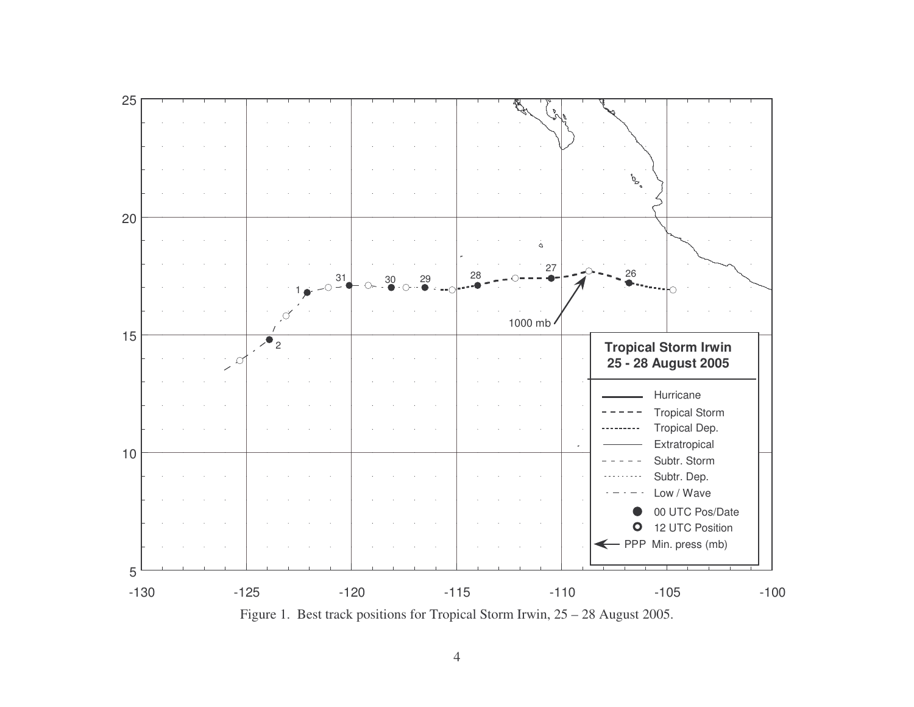

4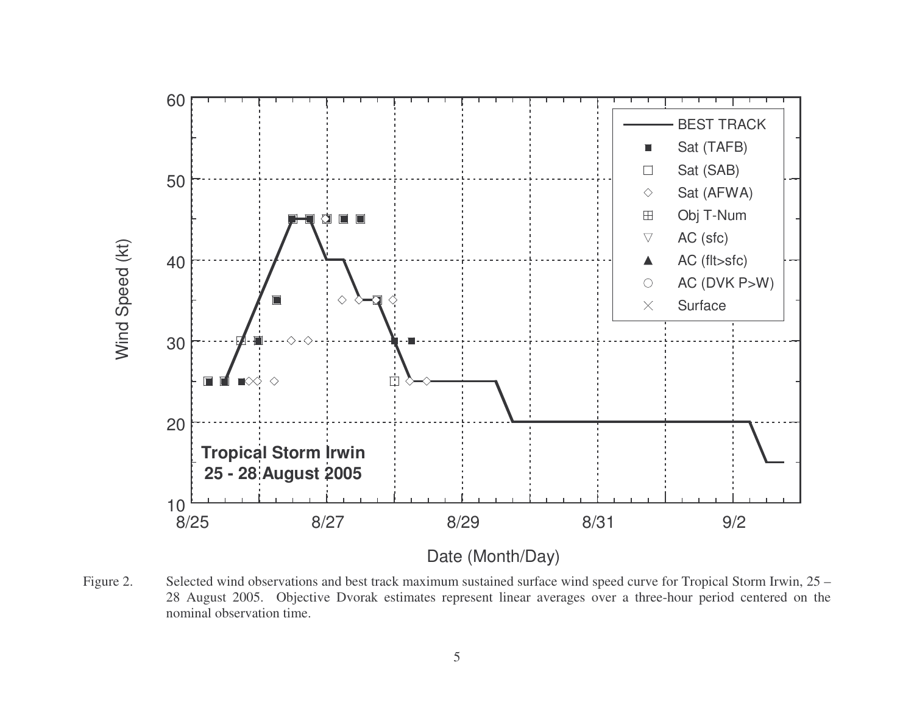

Figure 2. Selected wind observations and best track maximum sustained surface wind speed curve for Tropical Storm Irwin, 25 – 28 August 2005. Objective Dvorak estimates represen<sup>t</sup> linear averages over <sup>a</sup> three-hour period centered on the nominal observation time.